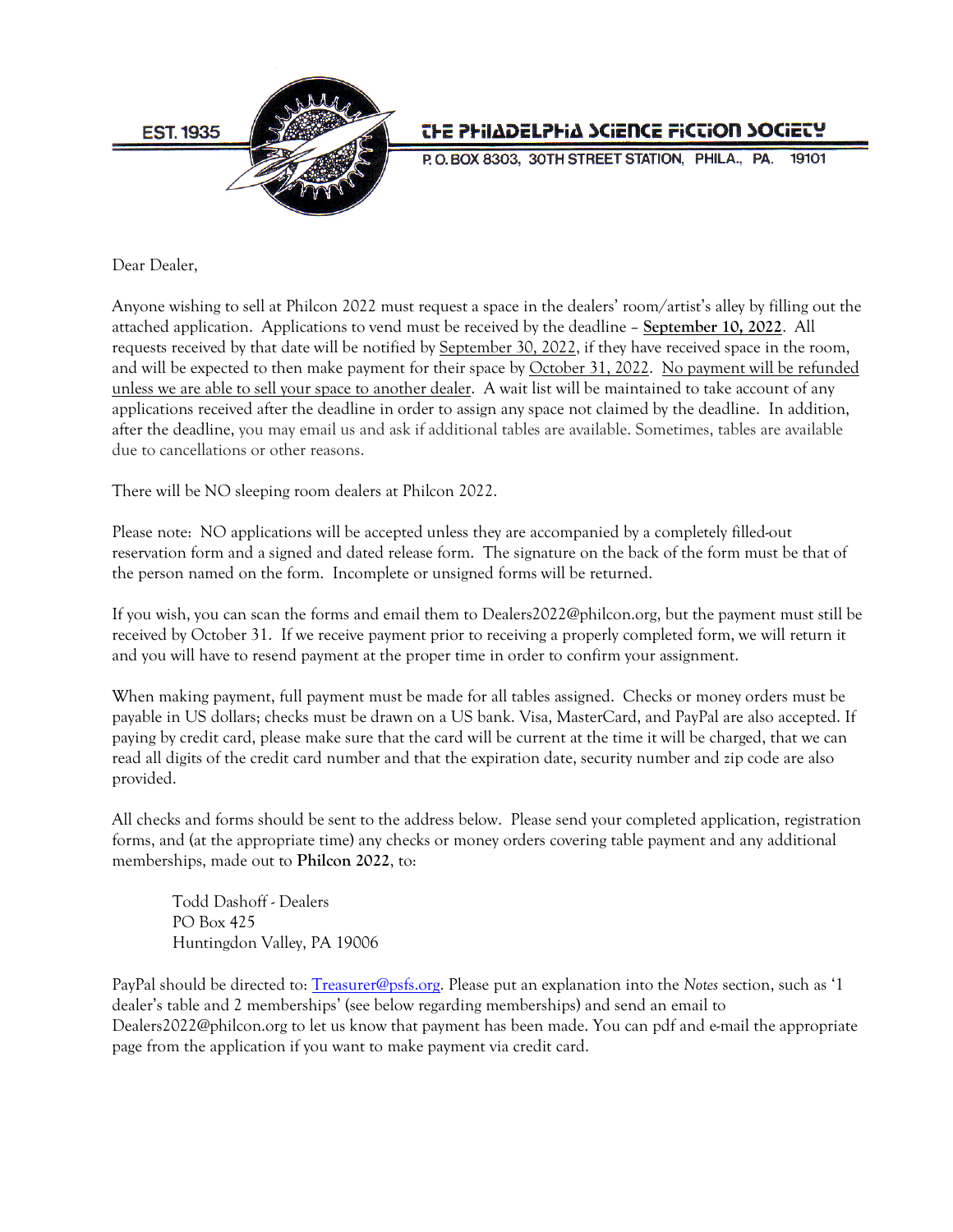

# **THE PHILADELPHIA SCIENCE FICTION SOCIETY**

P.O. BOX 8303, 30TH STREET STATION, PHILA., PA.

Dear Dealer,

Anyone wishing to sell at Philcon 2022 must request a space in the dealers' room/artist's alley by filling out the attached application. Applications to vend must be received by the deadline – **September 10, 2022**. All requests received by that date will be notified by September 30, 2022, if they have received space in the room, and will be expected to then make payment for their space by October 31, 2022. No payment will be refunded unless we are able to sell your space to another dealer. A wait list will be maintained to take account of any applications received after the deadline in order to assign any space not claimed by the deadline. In addition, after the deadline, you may email us and ask if additional tables are available. Sometimes, tables are available due to cancellations or other reasons.

There will be NO sleeping room dealers at Philcon 2022.

Please note: NO applications will be accepted unless they are accompanied by a completely filled-out reservation form and a signed and dated release form. The signature on the back of the form must be that of the person named on the form. Incomplete or unsigned forms will be returned.

If you wish, you can scan the forms and email them to Dealers2022@philcon.org, but the payment must still be received by October 31. If we receive payment prior to receiving a properly completed form, we will return it and you will have to resend payment at the proper time in order to confirm your assignment.

When making payment, full payment must be made for all tables assigned. Checks or money orders must be payable in US dollars; checks must be drawn on a US bank. Visa, MasterCard, and PayPal are also accepted. If paying by credit card, please make sure that the card will be current at the time it will be charged, that we can read all digits of the credit card number and that the expiration date, security number and zip code are also provided.

All checks and forms should be sent to the address below. Please send your completed application, registration forms, and (at the appropriate time) any checks or money orders covering table payment and any additional memberships, made out to **Philcon 2022**, to:

 Todd Dashoff - Dealers PO Box 425 Huntingdon Valley, PA 19006

PayPal should be directed to: [Treasurer@psfs.org.](mailto:Treasurer@psfs.org) Please put an explanation into the *Notes* section, such as '1 dealer's table and 2 memberships' (see below regarding memberships) and send an email to Dealers2022@philcon.org to let us know that payment has been made. You can pdf and e-mail the appropriate page from the application if you want to make payment via credit card.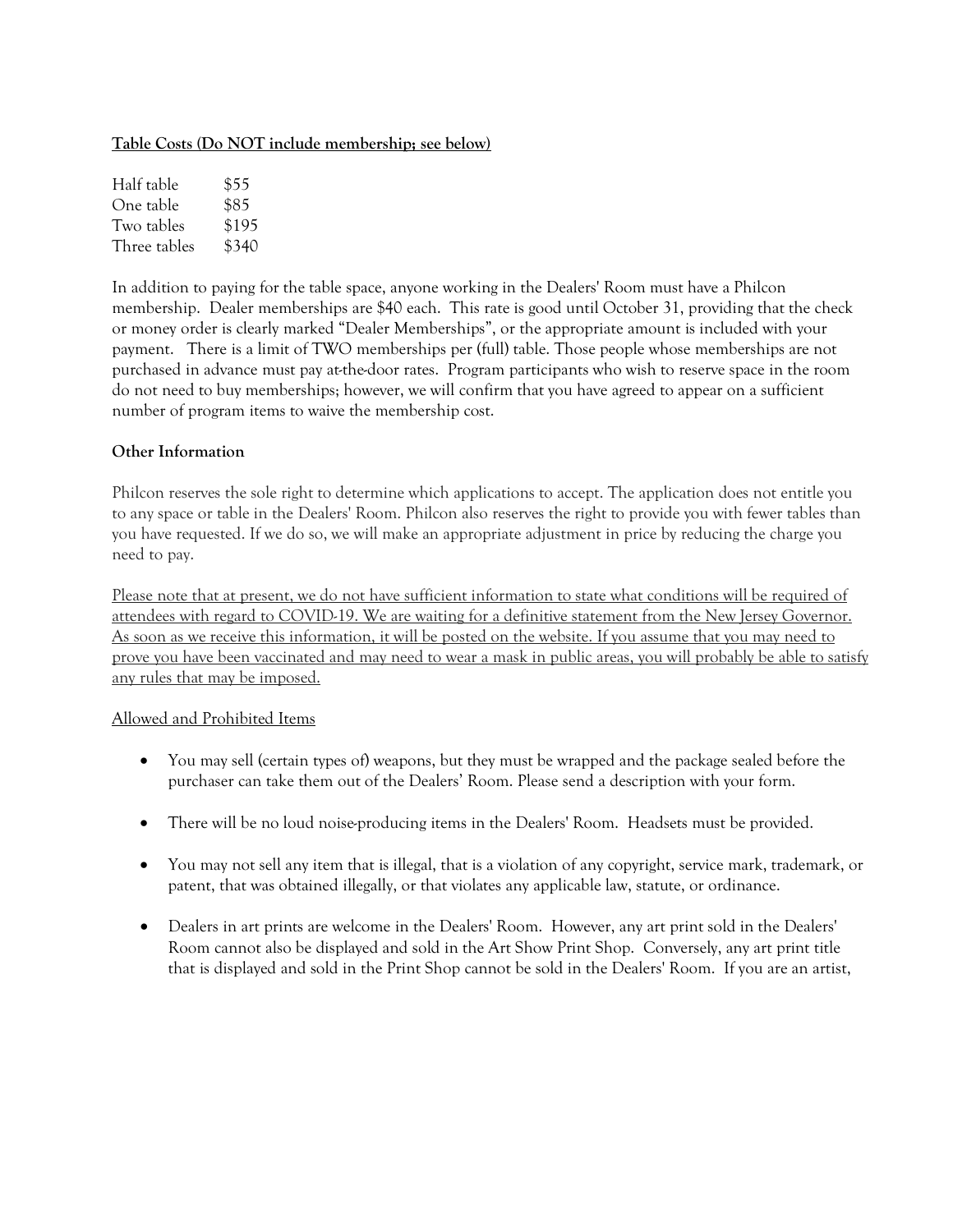#### **Table Costs (Do NOT include membership; see below)**

| Half table   | \$55  |
|--------------|-------|
| One table    | \$85  |
| Two tables   | \$195 |
| Three tables | \$340 |

In addition to paying for the table space, anyone working in the Dealers' Room must have a Philcon membership. Dealer memberships are \$40 each. This rate is good until October 31, providing that the check or money order is clearly marked "Dealer Memberships", or the appropriate amount is included with your payment. There is a limit of TWO memberships per (full) table. Those people whose memberships are not purchased in advance must pay at-the-door rates. Program participants who wish to reserve space in the room do not need to buy memberships; however, we will confirm that you have agreed to appear on a sufficient number of program items to waive the membership cost.

### **Other Information**

Philcon reserves the sole right to determine which applications to accept. The application does not entitle you to any space or table in the Dealers' Room. Philcon also reserves the right to provide you with fewer tables than you have requested. If we do so, we will make an appropriate adjustment in price by reducing the charge you need to pay.

Please note that at present, we do not have sufficient information to state what conditions will be required of attendees with regard to COVID-19. We are waiting for a definitive statement from the New Jersey Governor. As soon as we receive this information, it will be posted on the website. If you assume that you may need to prove you have been vaccinated and may need to wear a mask in public areas, you will probably be able to satisfy any rules that may be imposed.

## Allowed and Prohibited Items

- You may sell (certain types of) weapons, but they must be wrapped and the package sealed before the purchaser can take them out of the Dealers' Room. Please send a description with your form.
- There will be no loud noise-producing items in the Dealers' Room. Headsets must be provided.
- You may not sell any item that is illegal, that is a violation of any copyright, service mark, trademark, or patent, that was obtained illegally, or that violates any applicable law, statute, or ordinance.
- Dealers in art prints are welcome in the Dealers' Room. However, any art print sold in the Dealers' Room cannot also be displayed and sold in the Art Show Print Shop. Conversely, any art print title that is displayed and sold in the Print Shop cannot be sold in the Dealers' Room. If you are an artist,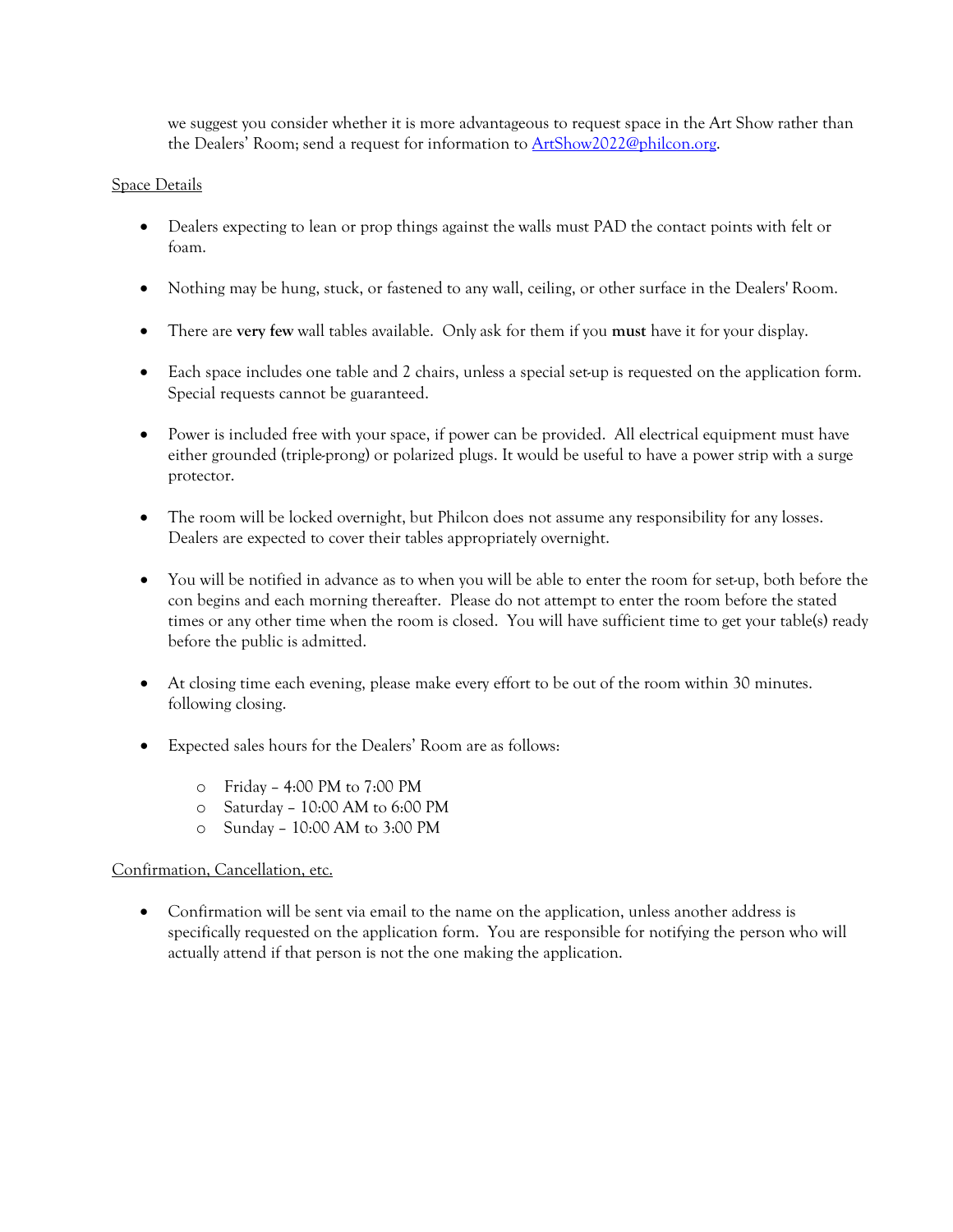we suggest you consider whether it is more advantageous to request space in the Art Show rather than the Dealers' Room; send a request for information to [ArtShow2022@philcon.org.](mailto:ArtShow2022@philcon.org) 

#### Space Details

- Dealers expecting to lean or prop things against the walls must PAD the contact points with felt or foam.
- Nothing may be hung, stuck, or fastened to any wall, ceiling, or other surface in the Dealers' Room.
- There are **very few** wall tables available. Only ask for them if you **must** have it for your display.
- Each space includes one table and 2 chairs, unless a special set-up is requested on the application form. Special requests cannot be guaranteed.
- Power is included free with your space, if power can be provided. All electrical equipment must have either grounded (triple-prong) or polarized plugs. It would be useful to have a power strip with a surge protector.
- The room will be locked overnight, but Philcon does not assume any responsibility for any losses. Dealers are expected to cover their tables appropriately overnight.
- You will be notified in advance as to when you will be able to enter the room for set-up, both before the con begins and each morning thereafter. Please do not attempt to enter the room before the stated times or any other time when the room is closed. You will have sufficient time to get your table(s) ready before the public is admitted.
- At closing time each evening, please make every effort to be out of the room within 30 minutes. following closing.
- Expected sales hours for the Dealers' Room are as follows:
	- o Friday 4:00 PM to 7:00 PM
	- o Saturday 10:00 AM to 6:00 PM
	- o Sunday 10:00 AM to 3:00 PM

## Confirmation, Cancellation, etc.

• Confirmation will be sent via email to the name on the application, unless another address is specifically requested on the application form. You are responsible for notifying the person who will actually attend if that person is not the one making the application.